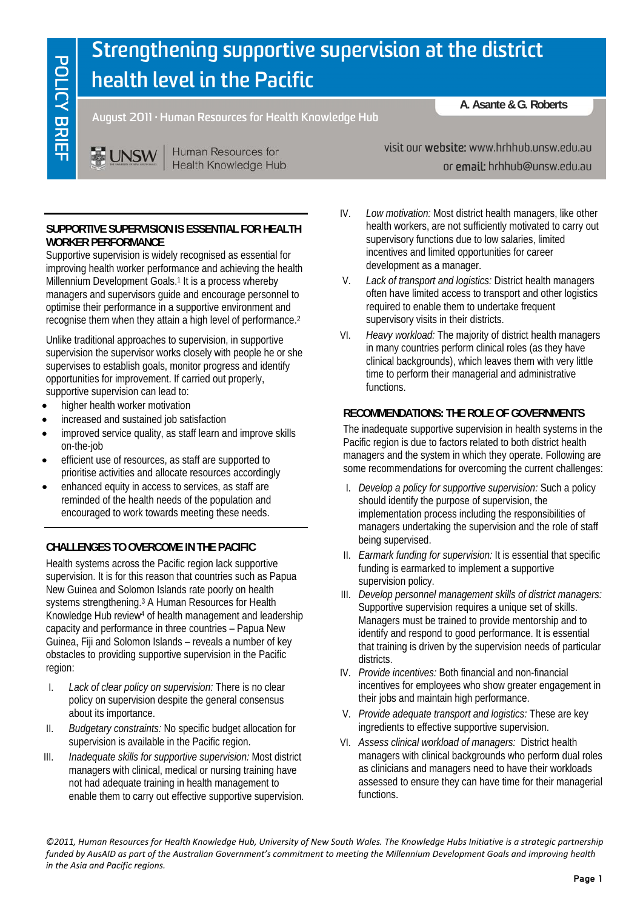# **Strengthening supportive supervision at the district health level in the Pacific**

**August 2011 · Human Resources for Health Knowledge Hub** 

Human Resources for **E UNSW Health Knowledge Hub** 

# **SUPPORTIVE SUPERVISION IS ESSENTIAL FOR HEALTH WORKER PERFORMANCE**

Supportive supervision is widely recognised as essential for improving health worker performance and achieving the health Millennium Development Goals.<sup>1</sup> It is a process whereby managers and supervisors guide and encourage personnel to optimise their performance in a supportive environment and recognise them when they attain a high level of performance.2

Unlike traditional approaches to supervision, in supportive supervision the supervisor works closely with people he or she supervises to establish goals, monitor progress and identify opportunities for improvement. If carried out properly, supportive supervision can lead to:

- higher health worker motivation
- increased and sustained job satisfaction
- improved service quality, as staff learn and improve skills on-the-job
- efficient use of resources, as staff are supported to prioritise activities and allocate resources accordingly
- enhanced equity in access to services, as staff are reminded of the health needs of the population and encouraged to work towards meeting these needs.

# **CHALLENGES TO OVERCOME IN THE PACIFIC**

Health systems across the Pacific region lack supportive supervision. It is for this reason that countries such as Papua New Guinea and Solomon Islands rate poorly on health systems strengthening.3 A Human Resources for Health Knowledge Hub review4 of health management and leadership capacity and performance in three countries – Papua New Guinea, Fiji and Solomon Islands – reveals a number of key obstacles to providing supportive supervision in the Pacific region:

- I. *Lack of clear policy on supervision:* There is no clear policy on supervision despite the general consensus about its importance.
- II. *Budgetary constraints:* No specific budget allocation for supervision is available in the Pacific region.
- III. *Inadequate skills for supportive supervision:* Most district managers with clinical, medical or nursing training have not had adequate training in health management to enable them to carry out effective supportive supervision.

visit our website: www.hrhhub.unsw.edu.au

or email: hrhhub@unsw.edu.au

**A. Asante & G. Roberts** 

- IV. *Low motivation:* Most district health managers, like other health workers, are not sufficiently motivated to carry out supervisory functions due to low salaries, limited incentives and limited opportunities for career development as a manager.
- V. *Lack of transport and logistics:* District health managers often have limited access to transport and other logistics required to enable them to undertake frequent supervisory visits in their districts.
- VI. *Heavy workload:* The majority of district health managers in many countries perform clinical roles (as they have clinical backgrounds), which leaves them with very little time to perform their managerial and administrative functions.

# **RECOMMENDATIONS: THE ROLE OF GOVERNMENTS**

The inadequate supportive supervision in health systems in the Pacific region is due to factors related to both district health managers and the system in which they operate. Following are some recommendations for overcoming the current challenges:

- I. *Develop a policy for supportive supervision:* Such a policy should identify the purpose of supervision, the implementation process including the responsibilities of managers undertaking the supervision and the role of staff being supervised.
- II. *Earmark funding for supervision:* It is essential that specific funding is earmarked to implement a supportive supervision policy.
- III. *Develop personnel management skills of district managers:* Supportive supervision requires a unique set of skills. Managers must be trained to provide mentorship and to identify and respond to good performance. It is essential that training is driven by the supervision needs of particular districts.
- IV. *Provide incentives:* Both financial and non-financial incentives for employees who show greater engagement in their jobs and maintain high performance.
- V. *Provide adequate transport and logistics:* These are key ingredients to effective supportive supervision.
- VI. *Assess clinical workload of managers:* District health managers with clinical backgrounds who perform dual roles as clinicians and managers need to have their workloads assessed to ensure they can have time for their managerial functions.

©2011, Human Resources for Health Knowledge Hub, University of New South Wales. The Knowledge Hubs Initiative is a strategic partnership funded by AusAID as part of the Australian Government's commitment to meeting the Millennium Development Goals and improving health *in the Asia and Pacific regions.*